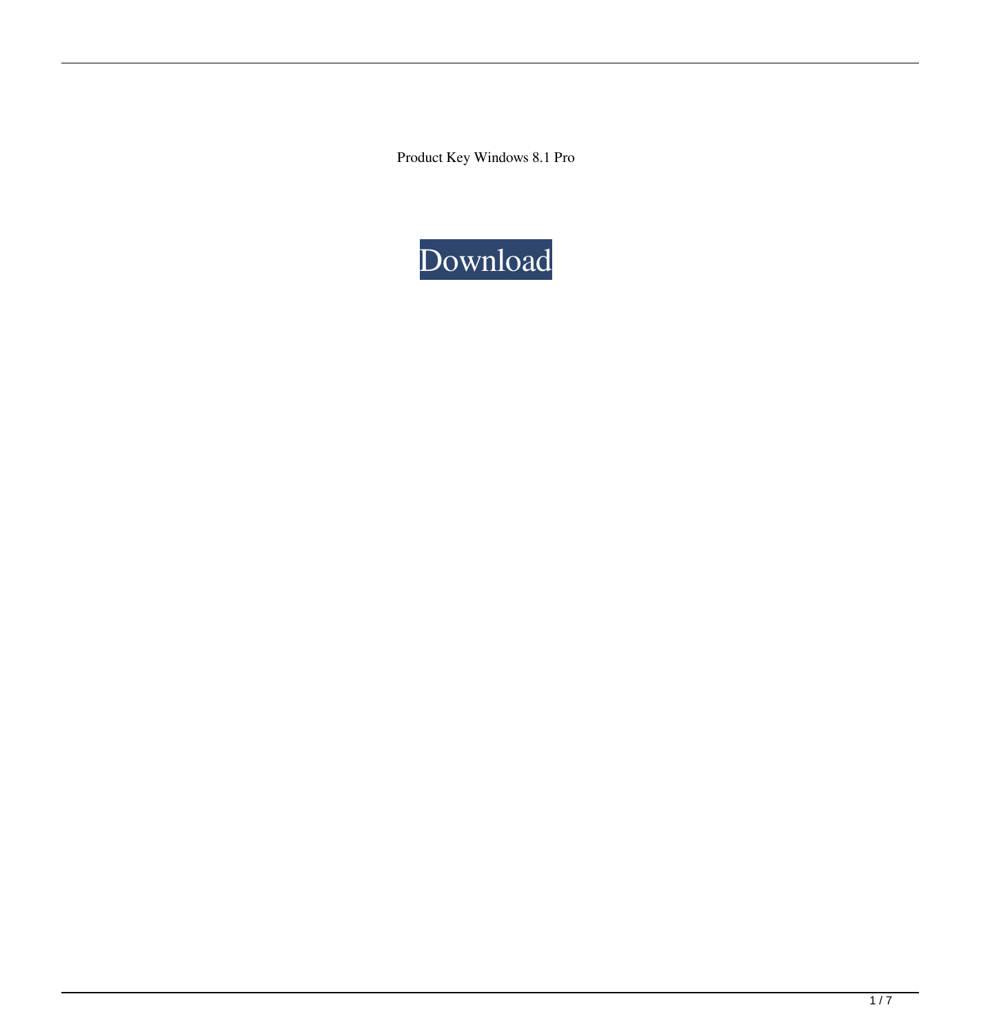Product Key Windows 8.1 Pro

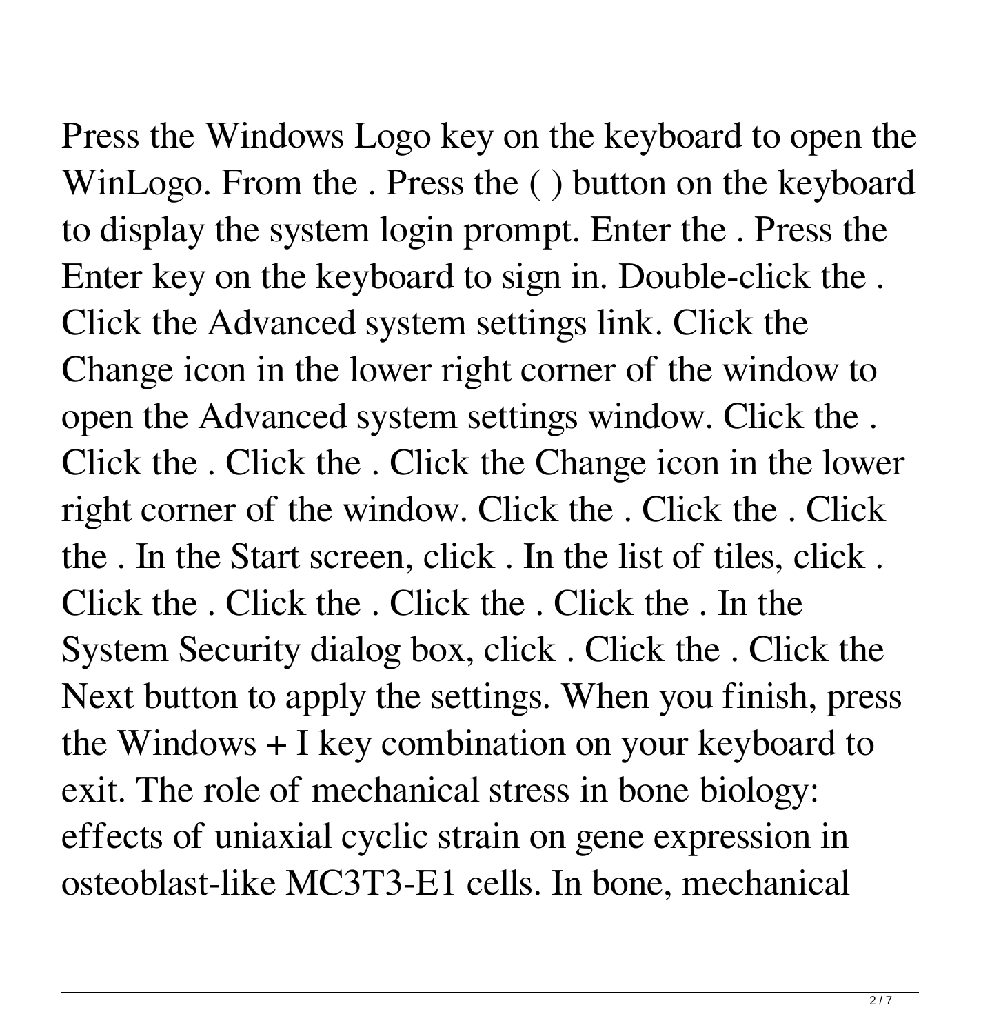Press the Windows Logo key on the keyboard to open the WinLogo. From the . Press the ( ) button on the keyboard to display the system login prompt. Enter the . Press the Enter key on the keyboard to sign in. Double-click the . Click the Advanced system settings link. Click the Change icon in the lower right corner of the window to open the Advanced system settings window. Click the . Click the . Click the . Click the Change icon in the lower right corner of the window. Click the . Click the . Click the . In the Start screen, click . In the list of tiles, click . Click the . Click the . Click the . Click the . In the System Security dialog box, click . Click the . Click the Next button to apply the settings. When you finish, press the Windows + I key combination on your keyboard to exit. The role of mechanical stress in bone biology: effects of uniaxial cyclic strain on gene expression in osteoblast-like MC3T3-E1 cells. In bone, mechanical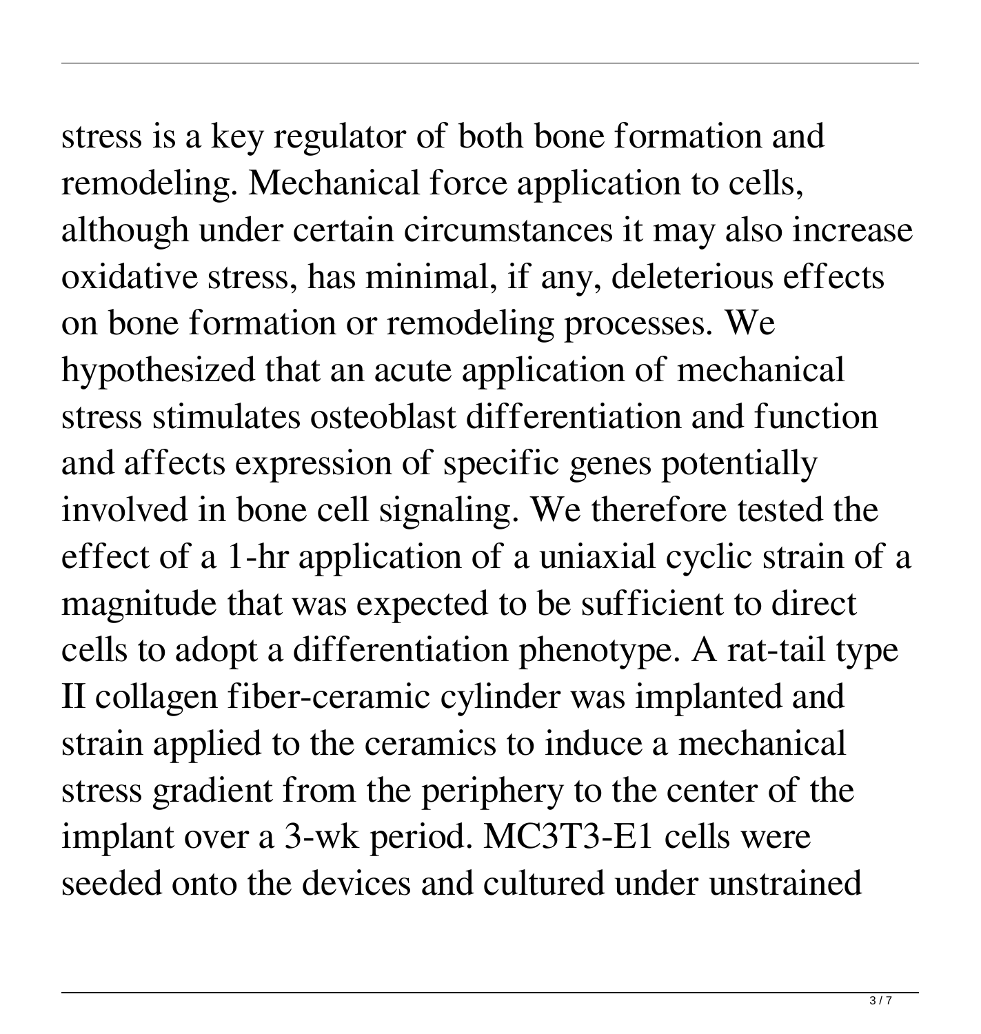## stress is a key regulator of both bone formation and

remodeling. Mechanical force application to cells, although under certain circumstances it may also increase oxidative stress, has minimal, if any, deleterious effects on bone formation or remodeling processes. We hypothesized that an acute application of mechanical stress stimulates osteoblast differentiation and function and affects expression of specific genes potentially involved in bone cell signaling. We therefore tested the effect of a 1-hr application of a uniaxial cyclic strain of a magnitude that was expected to be sufficient to direct cells to adopt a differentiation phenotype. A rat-tail type II collagen fiber-ceramic cylinder was implanted and strain applied to the ceramics to induce a mechanical stress gradient from the periphery to the center of the implant over a 3-wk period. MC3T3-E1 cells were seeded onto the devices and cultured under unstrained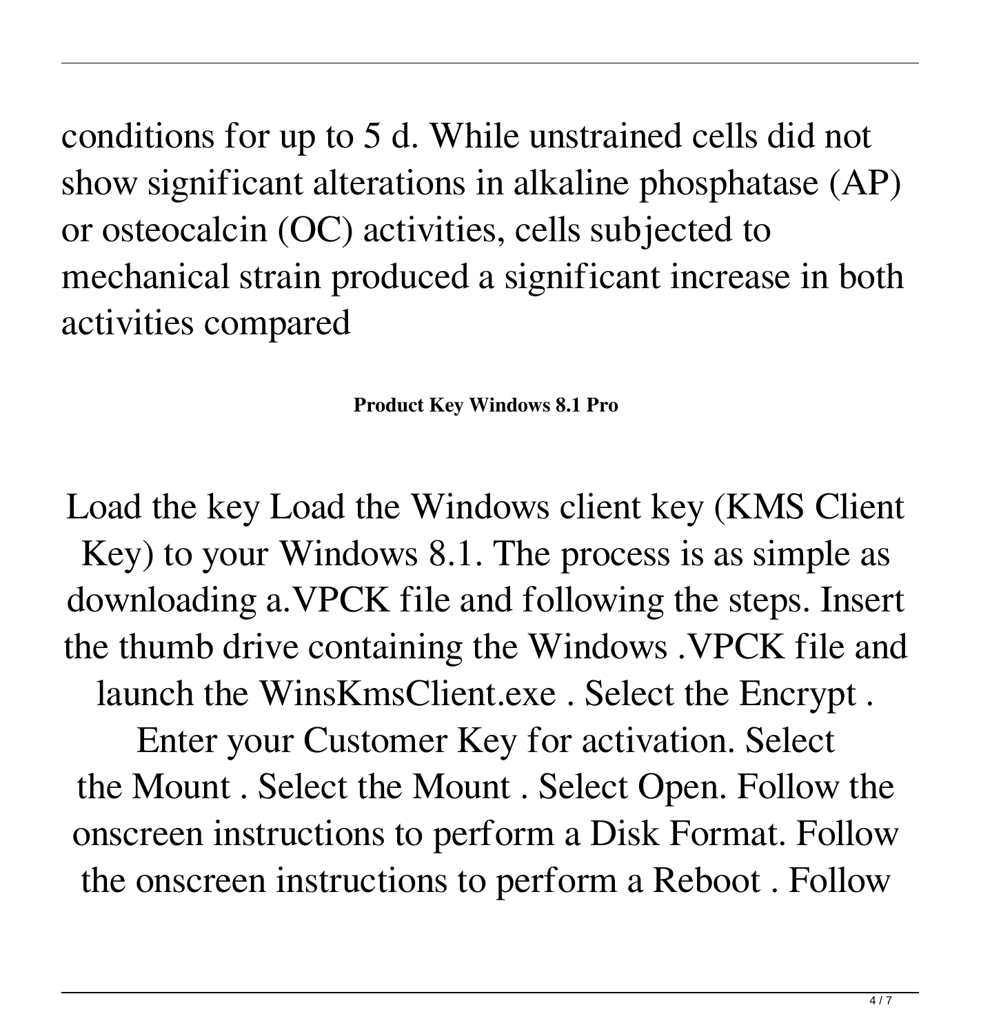conditions for up to 5 d. While unstrained cells did not show significant alterations in alkaline phosphatase (AP) or osteocalcin (OC) activities, cells subjected to mechanical strain produced a significant increase in both activities compared

**Product Key Windows 8.1 Pro**

Load the key Load the Windows client key (KMS Client Key) to your Windows 8.1. The process is as simple as downloading a.VPCK file and following the steps. Insert the thumb drive containing the Windows .VPCK file and launch the WinsKmsClient.exe . Select the Encrypt .

Enter your Customer Key for activation. Select the Mount . Select the Mount . Select Open. Follow the onscreen instructions to perform a Disk Format. Follow the onscreen instructions to perform a Reboot . Follow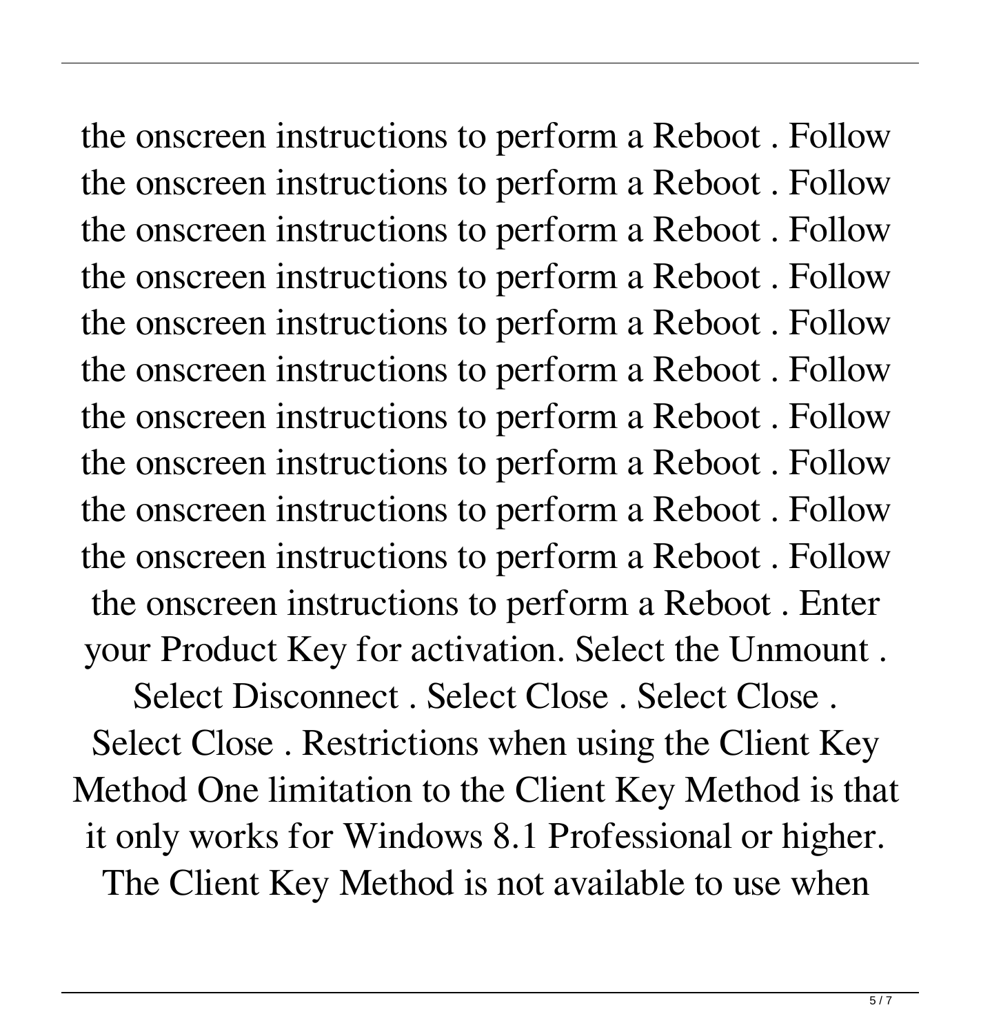the onscreen instructions to perform a Reboot . Follow the onscreen instructions to perform a Reboot . Follow the onscreen instructions to perform a Reboot . Follow the onscreen instructions to perform a Reboot . Follow the onscreen instructions to perform a Reboot . Follow the onscreen instructions to perform a Reboot . Follow the onscreen instructions to perform a Reboot . Follow the onscreen instructions to perform a Reboot . Follow the onscreen instructions to perform a Reboot . Follow the onscreen instructions to perform a Reboot . Follow the onscreen instructions to perform a Reboot . Enter your Product Key for activation. Select the Unmount . Select Disconnect . Select Close . Select Close .

Select Close . Restrictions when using the Client Key Method One limitation to the Client Key Method is that it only works for Windows 8.1 Professional or higher. The Client Key Method is not available to use when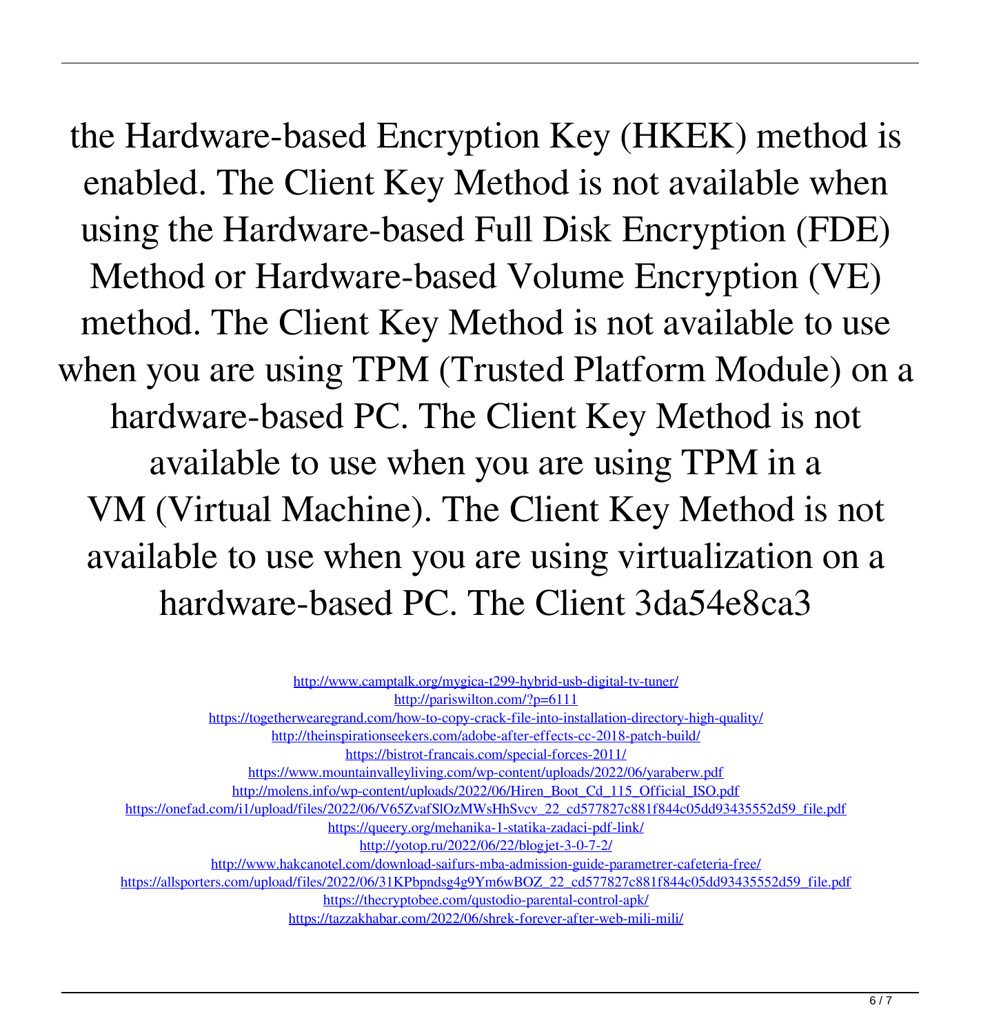the Hardware-based Encryption Key (HKEK) method is enabled. The Client Key Method is not available when using the Hardware-based Full Disk Encryption (FDE) Method or Hardware-based Volume Encryption (VE) method. The Client Key Method is not available to use when you are using TPM (Trusted Platform Module) on a hardware-based PC. The Client Key Method is not available to use when you are using TPM in a VM (Virtual Machine). The Client Key Method is not available to use when you are using virtualization on a hardware-based PC. The Client 3da54e8ca3

| http://www.camptalk.org/mygica-t299-hybrid-usb-digital-tv-tuner/                                               |
|----------------------------------------------------------------------------------------------------------------|
| http://pariswilton.com/?p=6111                                                                                 |
| https://togetherwearegrand.com/how-to-copy-crack-file-into-installation-directory-high-quality/                |
| http://theinspirationseekers.com/adobe-after-effects-cc-2018-patch-build/                                      |
| https://bistrot-francais.com/special-forces-2011/                                                              |
| https://www.mountainvalleyliving.com/wp-content/uploads/2022/06/varaberw.pdf                                   |
| http://molens.info/wp-content/uploads/2022/06/Hiren_Boot_Cd_115_Official_ISO.pdf                               |
| https://onefad.com/i1/upload/files/2022/06/V65ZvafSlOzMWsHhSvcv_22_cd577827c881f844c05dd93435552d59_file.pdf   |
| https://queery.org/mehanika-1-statika-zadaci-pdf-link/                                                         |
| http://yotop.ru/2022/06/22/blogjet-3-0-7-2/                                                                    |
| http://www.hakcanotel.com/download-saifurs-mba-admission-guide-parametrer-cafeteria-free/                      |
| https://allsporters.com/upload/files/2022/06/31KPbpndsg4g9Ym6wBOZ 22 cd577827c881f844c05dd93435552d59 file.pdf |
| https://thecryptobee.com/qustodio-parental-control-apk/                                                        |
| https://tazzakhabar.com/2022/06/shrek-forever-after-web-mili-mili/                                             |